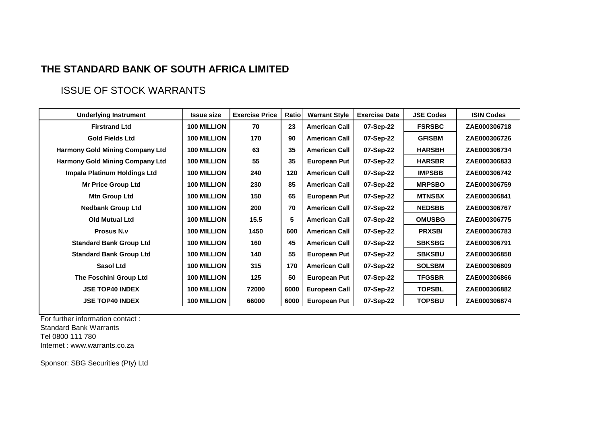## **THE STANDARD BANK OF SOUTH AFRICA LIMITED**

## ISSUE OF STOCK WARRANTS

| <b>Underlying Instrument</b>           | <b>Issue size</b>  | <b>Exercise Price</b> | Ratio | <b>Warrant Style</b> | <b>Exercise Date</b> | <b>JSE Codes</b> | <b>ISIN Codes</b> |
|----------------------------------------|--------------------|-----------------------|-------|----------------------|----------------------|------------------|-------------------|
| <b>Firstrand Ltd</b>                   | <b>100 MILLION</b> | 70                    | 23    | <b>American Call</b> | 07-Sep-22            | <b>FSRSBC</b>    | ZAE000306718      |
| <b>Gold Fields Ltd</b>                 | <b>100 MILLION</b> | 170                   | 90    | <b>American Call</b> | 07-Sep-22            | <b>GFISBM</b>    | ZAE000306726      |
| <b>Harmony Gold Mining Company Ltd</b> | <b>100 MILLION</b> | 63                    | 35    | <b>American Call</b> | 07-Sep-22            | <b>HARSBH</b>    | ZAE000306734      |
| <b>Harmony Gold Mining Company Ltd</b> | <b>100 MILLION</b> | 55                    | 35    | <b>European Put</b>  | 07-Sep-22            | <b>HARSBR</b>    | ZAE000306833      |
| Impala Platinum Holdings Ltd           | <b>100 MILLION</b> | 240                   | 120   | <b>American Call</b> | 07-Sep-22            | <b>IMPSBB</b>    | ZAE000306742      |
| <b>Mr Price Group Ltd</b>              | <b>100 MILLION</b> | 230                   | 85    | <b>American Call</b> | 07-Sep-22            | <b>MRPSBO</b>    | ZAE000306759      |
| Mtn Group Ltd                          | <b>100 MILLION</b> | 150                   | 65    | <b>European Put</b>  | 07-Sep-22            | <b>MTNSBX</b>    | ZAE000306841      |
| <b>Nedbank Group Ltd</b>               | <b>100 MILLION</b> | 200                   | 70    | <b>American Call</b> | 07-Sep-22            | <b>NEDSBB</b>    | ZAE000306767      |
| <b>Old Mutual Ltd</b>                  | <b>100 MILLION</b> | 15.5                  | 5     | <b>American Call</b> | 07-Sep-22            | <b>OMUSBG</b>    | ZAE000306775      |
| <b>Prosus N.v.</b>                     | <b>100 MILLION</b> | 1450                  | 600   | <b>American Call</b> | 07-Sep-22            | <b>PRXSBI</b>    | ZAE000306783      |
| <b>Standard Bank Group Ltd</b>         | <b>100 MILLION</b> | 160                   | 45    | <b>American Call</b> | 07-Sep-22            | <b>SBKSBG</b>    | ZAE000306791      |
| <b>Standard Bank Group Ltd</b>         | <b>100 MILLION</b> | 140                   | 55    | European Put         | 07-Sep-22            | <b>SBKSBU</b>    | ZAE000306858      |
| Sasol Ltd                              | <b>100 MILLION</b> | 315                   | 170   | <b>American Call</b> | 07-Sep-22            | <b>SOLSBM</b>    | ZAE000306809      |
| The Foschini Group Ltd                 | <b>100 MILLION</b> | 125                   | 50    | European Put         | 07-Sep-22            | <b>TFGSBR</b>    | ZAE000306866      |
| <b>JSE TOP40 INDEX</b>                 | <b>100 MILLION</b> | 72000                 | 6000  | <b>European Call</b> | 07-Sep-22            | <b>TOPSBL</b>    | ZAE000306882      |
| <b>JSE TOP40 INDEX</b>                 | <b>100 MILLION</b> | 66000                 | 6000  | <b>European Put</b>  | 07-Sep-22            | <b>TOPSBU</b>    | ZAE000306874      |

For further information contact :

Standard Bank Warrants

Tel 0800 111 780

Internet : www.warrants.co.za

Sponsor: SBG Securities (Pty) Ltd